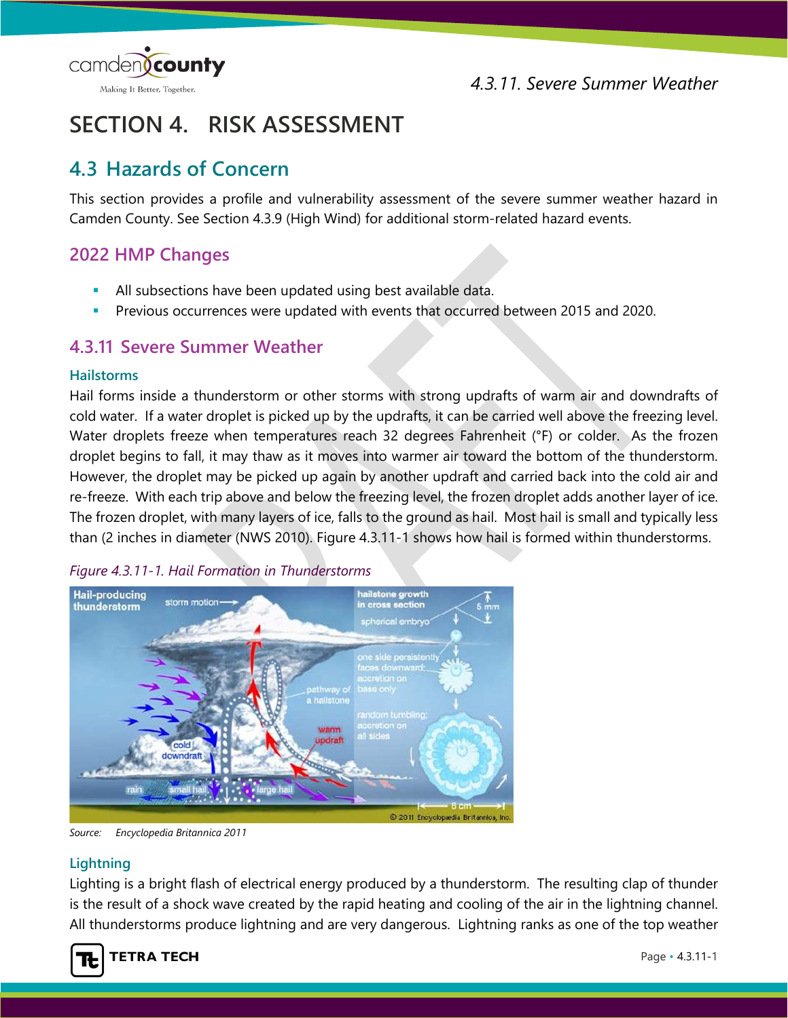

# **SECTION 4. RISK ASSESSMENT**

# **4.3 Hazards of Concern**

This section provides a profile and vulnerability assessment of the severe summer weather hazard in Camden County. See Section 4.3.9 (High Wind) for additional storm-related hazard events.

## **2022 HMP Changes**

- All subsections have been updated using best available data.
- Previous occurrences were updated with events that occurred between 2015 and 2020.

## **4.3.11 Severe Summer Weather**

## **Hailstorms**

Hail forms inside a thunderstorm or other storms with strong updrafts of warm air and downdrafts of cold water. If a water droplet is picked up by the updrafts, it can be carried well above the freezing level. Water droplets freeze when temperatures reach 32 degrees Fahrenheit (°F) or colder. As the frozen droplet begins to fall, it may thaw as it moves into warmer air toward the bottom of the thunderstorm. However, the droplet may be picked up again by another updraft and carried back into the cold air and re-freeze. With each trip above and below the freezing level, the frozen droplet adds another layer of ice. The frozen droplet, with many layers of ice, falls to the ground as hail. Most hail is small and typically less than (2 inches in diameter (NWS 2010). [Figure 4.3.11-1](#page-0-0) shows how hail is formed within thunderstorms.

<span id="page-0-0"></span>



*Source: Encyclopedia Britannica 2011*

## **Lightning**

Lighting is a bright flash of electrical energy produced by a thunderstorm. The resulting clap of thunder is the result of a shock wave created by the rapid heating and cooling of the air in the lightning channel. All thunderstorms produce lightning and are very dangerous. Lightning ranks as one of the top weather

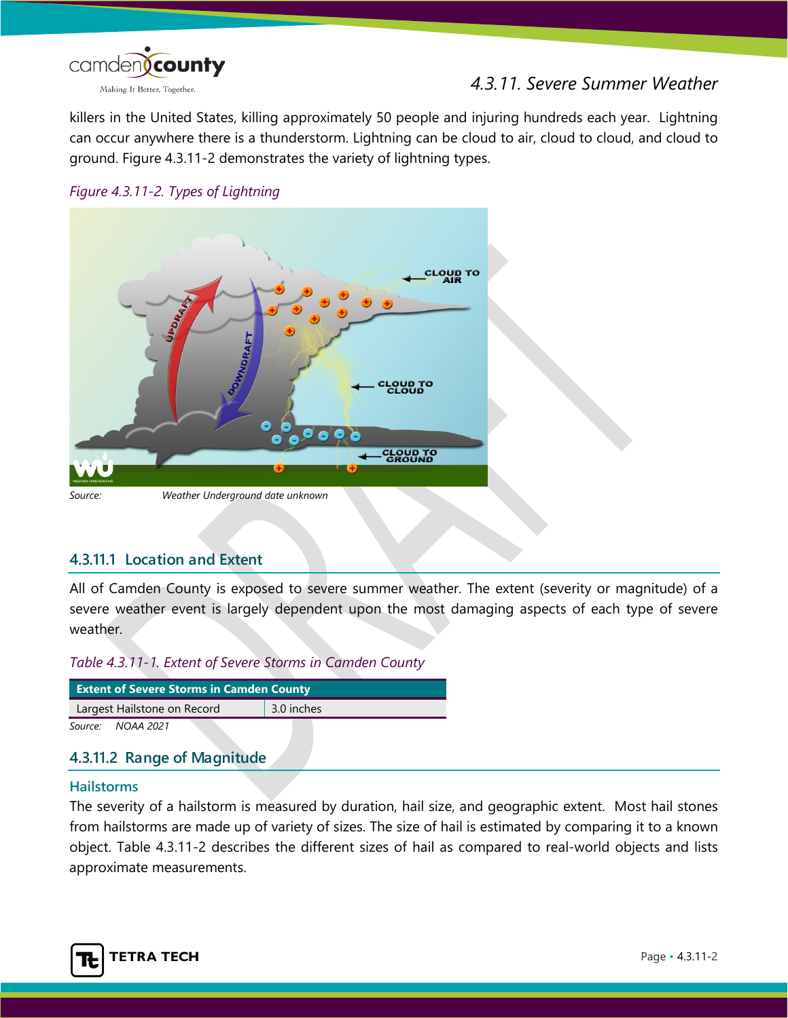

killers in the United States, killing approximately 50 people and injuring hundreds each year. Lightning can occur anywhere there is a thunderstorm. Lightning can be cloud to air, cloud to cloud, and cloud to ground. [Figure 4.3.11-2](#page-1-0) demonstrates the variety of lightning types.

<span id="page-1-0"></span>



## **4.3.11.1 Location and Extent**

All of Camden County is exposed to severe summer weather. The extent (severity or magnitude) of a severe weather event is largely dependent upon the most damaging aspects of each type of severe weather.

## *Table 4.3.11-1. Extent of Severe Storms in Camden County*

| <b>Extent of Severe Storms in Camden County</b> |            |  |  |  |  |
|-------------------------------------------------|------------|--|--|--|--|
| Largest Hailstone on Record                     | 3.0 inches |  |  |  |  |
| Source:<br>NOAA 2021                            |            |  |  |  |  |

## **4.3.11.2 Range of Magnitude**

#### **Hailstorms**

The severity of a hailstorm is measured by duration, hail size, and geographic extent. Most hail stones from hailstorms are made up of variety of sizes. The size of hail is estimated by comparing it to a known object. Table [4.3.11-2](#page-2-0) describes the different sizes of hail as compared to real-world objects and lists approximate measurements.

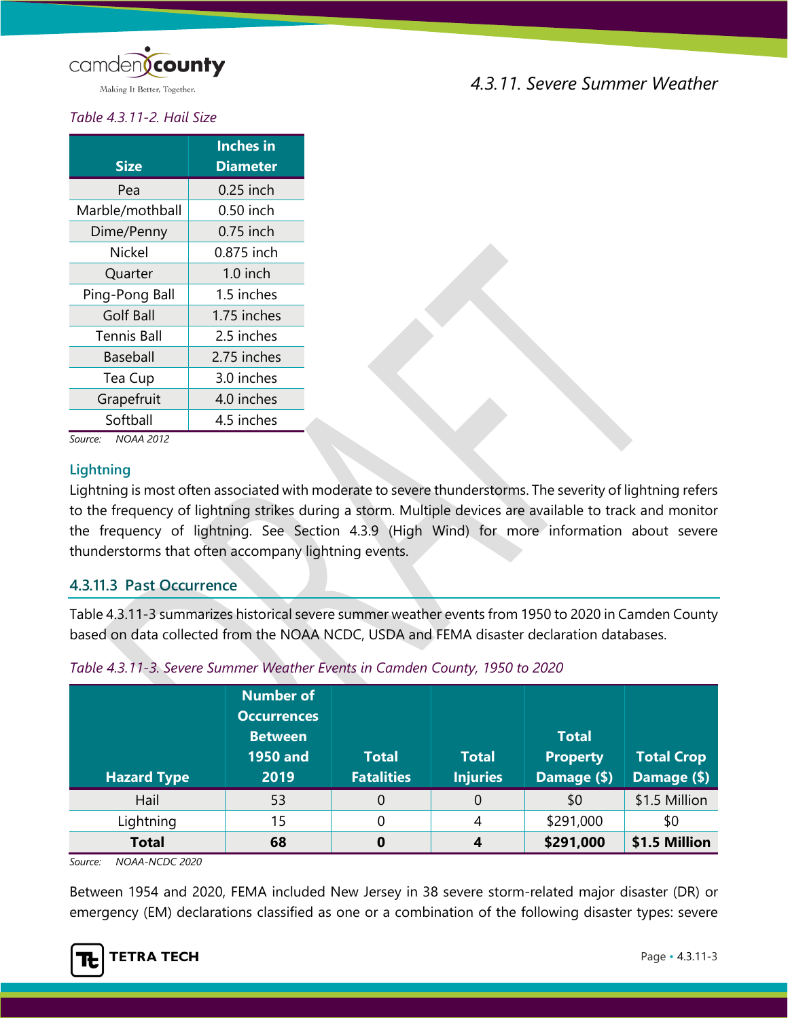

*4.3.11. Severe Summer Weather*

# <span id="page-2-0"></span>*Table 4.3.11-2. Hail Size*

| <b>Size</b>        | <b>Inches</b> in<br>Diameter |
|--------------------|------------------------------|
| Pea                | $0.25$ inch                  |
| Marble/mothball    | 0.50 inch                    |
| Dime/Penny         | 0.75 inch                    |
| Nickel             | 0.875 inch                   |
| Quarter            | $1.0$ inch                   |
| Ping-Pong Ball     | 1.5 inches                   |
| <b>Golf Ball</b>   | 1.75 inches                  |
| <b>Tennis Ball</b> | 2.5 inches                   |
| Baseball           | 2.75 inches                  |
| Tea Cup            | 3.0 inches                   |
| Grapefruit         | 4.0 inches                   |
| Softball           | 4.5 inches                   |

*Source: NOAA 2012*

#### **Lightning**

Lightning is most often associated with moderate to severe thunderstorms. The severity of lightning refers to the frequency of lightning strikes during a storm. Multiple devices are available to track and monitor the frequency of lightning. See Section 4.3.9 (High Wind) for more information about severe thunderstorms that often accompany lightning events.

## **4.3.11.3 Past Occurrence**

[Table 4.3.11-3](#page-2-1) summarizes historical severe summer weather events from 1950 to 2020 in Camden County based on data collected from the NOAA NCDC, USDA and FEMA disaster declaration databases.

| <b>Hazard Type</b> | <b>Number of</b><br><b>Occurrences</b><br><b>Between</b><br><b>1950 and</b><br>2019 | <b>Total</b><br><b>Fatalities</b> | <b>Total</b><br><b>Injuries</b> | <b>Total</b><br><b>Property</b><br>Damage (\$) | <b>Total Crop</b><br>Damage (\$) |
|--------------------|-------------------------------------------------------------------------------------|-----------------------------------|---------------------------------|------------------------------------------------|----------------------------------|
| Hail               | 53                                                                                  | $\mathbf 0$                       | 0                               | \$0                                            | \$1.5 Million                    |
| Lightning          | 15                                                                                  | 0                                 | 4                               | \$291,000                                      | \$0                              |
| <b>Total</b>       | 68                                                                                  | 0                                 |                                 | \$291,000                                      | \$1.5 Million                    |

<span id="page-2-1"></span>*Table 4.3.11-3. Severe Summer Weather Events in Camden County, 1950 to 2020*

*Source: NOAA-NCDC 2020*

Between 1954 and 2020, FEMA included New Jersey in 38 severe storm-related major disaster (DR) or emergency (EM) declarations classified as one or a combination of the following disaster types: severe

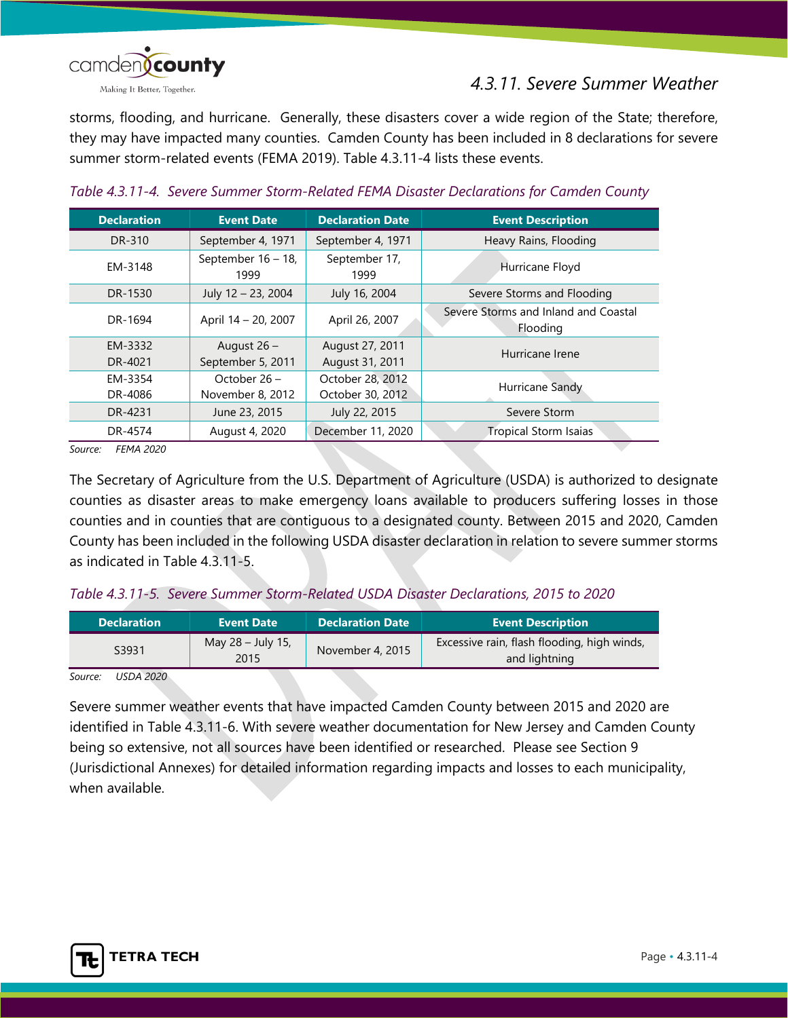

storms, flooding, and hurricane. Generally, these disasters cover a wide region of the State; therefore, they may have impacted many counties. Camden County has been included in 8 declarations for severe summer storm-related events (FEMA 2019). [Table 4.3.11-4](#page-3-0) lists these events.

| <b>Declaration</b> | <b>Event Date</b>          | <b>Declaration Date</b> | <b>Event Description</b>                         |  |
|--------------------|----------------------------|-------------------------|--------------------------------------------------|--|
| DR-310             | September 4, 1971          | September 4, 1971       | Heavy Rains, Flooding                            |  |
| EM-3148            | September 16 - 18,<br>1999 | September 17,<br>1999   | Hurricane Floyd                                  |  |
| DR-1530            | July 12 - 23, 2004         | July 16, 2004           | Severe Storms and Flooding                       |  |
| DR-1694            | April 14 - 20, 2007        | April 26, 2007          | Severe Storms and Inland and Coastal<br>Flooding |  |
| EM-3332            | August $26 -$              | August 27, 2011         | Hurricane Irene                                  |  |
| DR-4021            | September 5, 2011          | August 31, 2011         |                                                  |  |
| EM-3354            | October 26 -               | October 28, 2012        | Hurricane Sandy                                  |  |
| DR-4086            | November 8, 2012           | October 30, 2012        |                                                  |  |
| DR-4231            | June 23, 2015              | July 22, 2015           | Severe Storm                                     |  |
| DR-4574            | August 4, 2020             | December 11, 2020       | <b>Tropical Storm Isaias</b>                     |  |

## <span id="page-3-0"></span>*Table 4.3.11-4. Severe Summer Storm-Related FEMA Disaster Declarations for Camden County*

*Source: FEMA 2020*

The Secretary of Agriculture from the U.S. Department of Agriculture (USDA) is authorized to designate counties as disaster areas to make emergency loans available to producers suffering losses in those counties and in counties that are contiguous to a designated county. Between 2015 and 2020, Camden County has been included in the following USDA disaster declaration in relation to severe summer storms as indicated in [Table 4.3.11-5.](#page-3-1)

## <span id="page-3-1"></span>*Table 4.3.11-5. Severe Summer Storm-Related USDA Disaster Declarations, 2015 to 2020*

| <b>Declaration</b> | <b>Event Date</b>         | <b>Declaration Date</b> | <b>Event Description</b>                                     |
|--------------------|---------------------------|-------------------------|--------------------------------------------------------------|
| S3931              | May 28 - July 15,<br>2015 | November 4, 2015        | Excessive rain, flash flooding, high winds,<br>and lightning |

#### *Source: USDA 2020*

<span id="page-3-2"></span>Severe summer weather events that have impacted Camden County between 2015 and 2020 are identified in [Table 4.3.11-6.](#page-3-2) With severe weather documentation for New Jersey and Camden County being so extensive, not all sources have been identified or researched. Please see Section 9 (Jurisdictional Annexes) for detailed information regarding impacts and losses to each municipality, when available.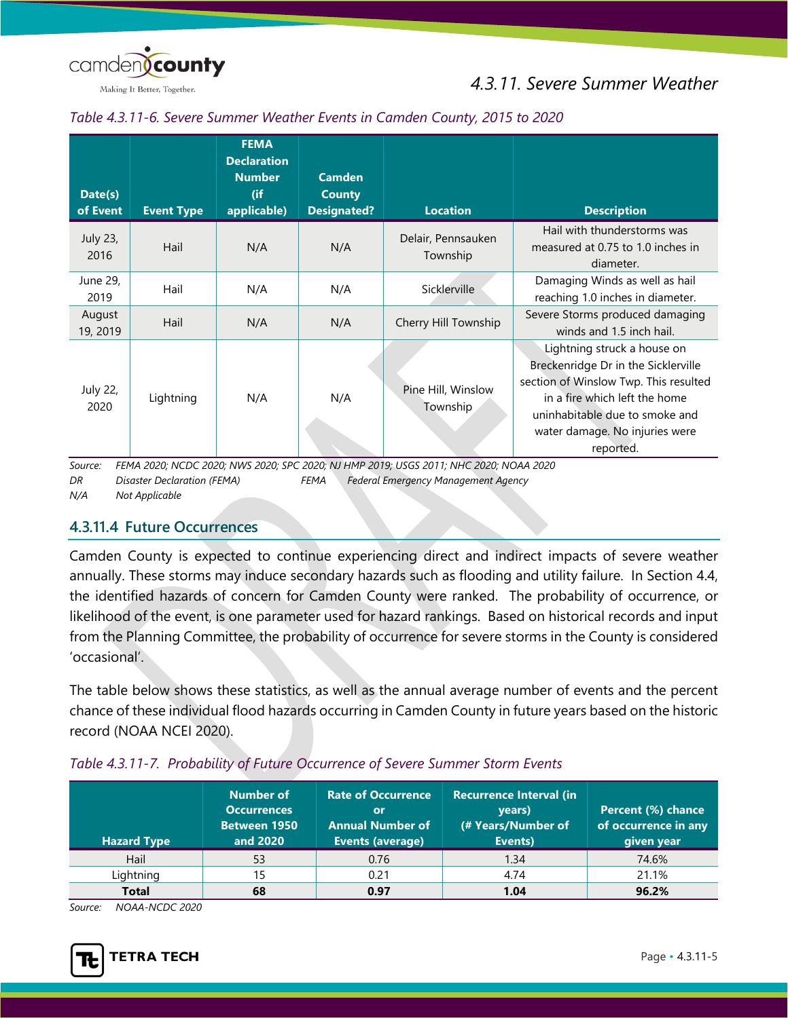

Making It Better, Together.

## *Table 4.3.11-6. Severe Summer Weather Events in Camden County, 2015 to 2020*

| Date(s)<br>of Event | <b>Event Type</b> | <b>FEMA</b><br><b>Declaration</b><br><b>Number</b><br>(if<br>applicable) | <b>Camden</b><br><b>County</b><br><b>Designated?</b> | <b>Location</b>                                                                                                                | <b>Description</b>                                                                                                                                                                                                            |
|---------------------|-------------------|--------------------------------------------------------------------------|------------------------------------------------------|--------------------------------------------------------------------------------------------------------------------------------|-------------------------------------------------------------------------------------------------------------------------------------------------------------------------------------------------------------------------------|
| July 23,<br>2016    | Hail              | N/A                                                                      | N/A                                                  | Delair, Pennsauken<br>Township                                                                                                 | Hail with thunderstorms was<br>measured at 0.75 to 1.0 inches in<br>diameter.                                                                                                                                                 |
| June 29,<br>2019    | Hail              | N/A                                                                      | N/A                                                  | Sicklerville                                                                                                                   | Damaging Winds as well as hail<br>reaching 1.0 inches in diameter.                                                                                                                                                            |
| August<br>19, 2019  | Hail              | N/A                                                                      | N/A                                                  | Cherry Hill Township                                                                                                           | Severe Storms produced damaging<br>winds and 1.5 inch hail.                                                                                                                                                                   |
| July 22,<br>2020    | Lightning         | N/A                                                                      | N/A                                                  | Pine Hill, Winslow<br>Township<br>EEMA 2020; NICDC 2020; NIMC 2020; CDC 2020; NILLIMD 2010; LICCC 2011; NILIC 2020; NIOAA 2020 | Lightning struck a house on<br>Breckenridge Dr in the Sicklerville<br>section of Winslow Twp. This resulted<br>in a fire which left the home<br>uninhabitable due to smoke and<br>water damage. No injuries were<br>reported. |

*Source: FEMA 2020; NCDC 2020; NWS 2020; SPC 2020; NJ HMP 2019; USGS 2011; NHC 2020; NOAA 2020 DR Disaster Declaration (FEMA) FEMA Federal Emergency Management Agency N/A Not Applicable*

## **4.3.11.4 Future Occurrences**

Camden County is expected to continue experiencing direct and indirect impacts of severe weather annually. These storms may induce secondary hazards such as flooding and utility failure. In Section 4.4, the identified hazards of concern for Camden County were ranked. The probability of occurrence, or likelihood of the event, is one parameter used for hazard rankings. Based on historical records and input from the Planning Committee, the probability of occurrence for severe storms in the County is considered 'occasional'.

The table below shows these statistics, as well as the annual average number of events and the percent chance of these individual flood hazards occurring in Camden County in future years based on the historic record (NOAA NCEI 2020).

| <b>Hazard Type</b> | Number of<br><b>Occurrences</b><br><b>Between 1950</b><br>and 2020 | <b>Rate of Occurrence</b><br>or<br><b>Annual Number of</b><br>Events (average) | <b>Recurrence Interval (in</b><br>vears)<br>(# Years/Number of<br>Events) | Percent (%) chance<br>of occurrence in any<br>given year |
|--------------------|--------------------------------------------------------------------|--------------------------------------------------------------------------------|---------------------------------------------------------------------------|----------------------------------------------------------|
| Hail               | 53                                                                 | 0.76                                                                           | 1.34                                                                      | 74.6%                                                    |
| Lightning          | 15                                                                 | 0.21                                                                           | 4.74                                                                      | 21.1%                                                    |
| <b>Total</b>       | 68                                                                 | 0.97                                                                           | 1.04                                                                      | 96.2%                                                    |

## *Table 4.3.11-7. Probability of Future Occurrence of Severe Summer Storm Events*

*Source: NOAA-NCDC 2020*

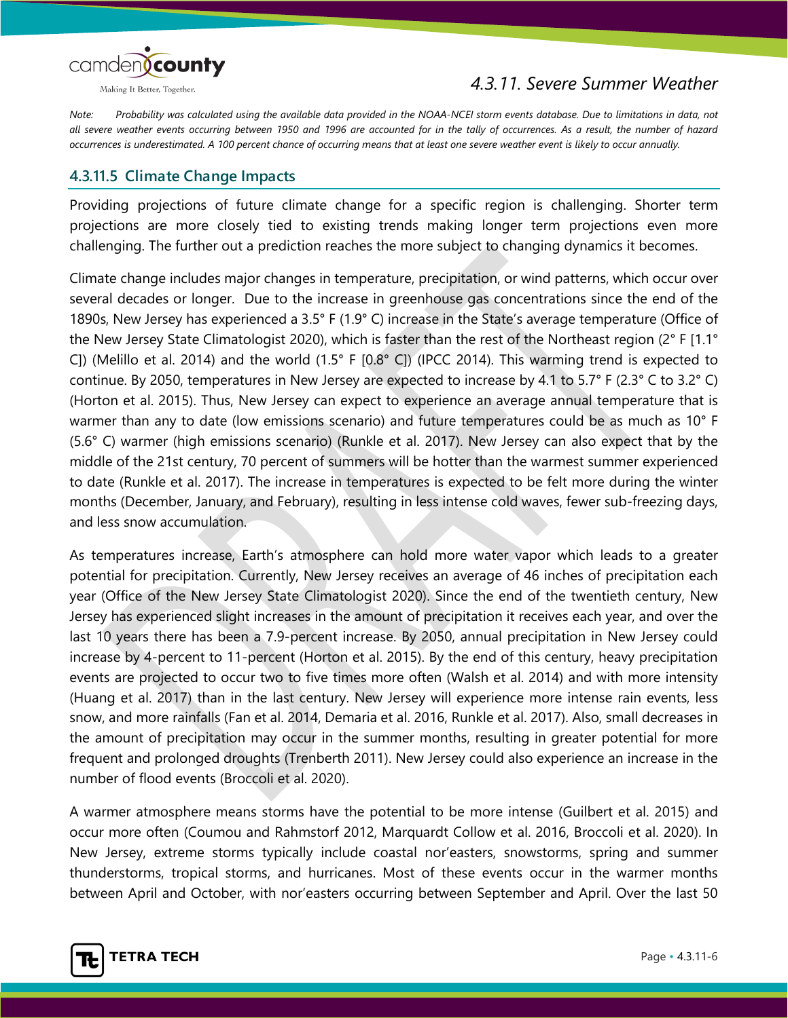

*4.3.11. Severe Summer Weather*

*Note: Probability was calculated using the available data provided in the NOAA-NCEI storm events database. Due to limitations in data, not all severe weather events occurring between 1950 and 1996 are accounted for in the tally of occurrences. As a result, the number of hazard occurrences is underestimated. A 100 percent chance of occurring means that at least one severe weather event is likely to occur annually.*

## **4.3.11.5 Climate Change Impacts**

Providing projections of future climate change for a specific region is challenging. Shorter term projections are more closely tied to existing trends making longer term projections even more challenging. The further out a prediction reaches the more subject to changing dynamics it becomes.

Climate change includes major changes in temperature, precipitation, or wind patterns, which occur over several decades or longer. Due to the increase in greenhouse gas concentrations since the end of the 1890s, New Jersey has experienced a 3.5° F (1.9° C) increase in the State's average temperature (Office of the New Jersey State Climatologist 2020), which is faster than the rest of the Northeast region (2° F [1.1° C]) (Melillo et al. 2014) and the world (1.5° F [0.8° C]) (IPCC 2014). This warming trend is expected to continue. By 2050, temperatures in New Jersey are expected to increase by 4.1 to 5.7° F (2.3° C to 3.2° C) (Horton et al. 2015). Thus, New Jersey can expect to experience an average annual temperature that is warmer than any to date (low emissions scenario) and future temperatures could be as much as 10° F (5.6° C) warmer (high emissions scenario) (Runkle et al. 2017). New Jersey can also expect that by the middle of the 21st century, 70 percent of summers will be hotter than the warmest summer experienced to date (Runkle et al. 2017). The increase in temperatures is expected to be felt more during the winter months (December, January, and February), resulting in less intense cold waves, fewer sub-freezing days, and less snow accumulation.

As temperatures increase, Earth's atmosphere can hold more water vapor which leads to a greater potential for precipitation. Currently, New Jersey receives an average of 46 inches of precipitation each year (Office of the New Jersey State Climatologist 2020). Since the end of the twentieth century, New Jersey has experienced slight increases in the amount of precipitation it receives each year, and over the last 10 years there has been a 7.9-percent increase. By 2050, annual precipitation in New Jersey could increase by 4-percent to 11-percent (Horton et al. 2015). By the end of this century, heavy precipitation events are projected to occur two to five times more often (Walsh et al. 2014) and with more intensity (Huang et al. 2017) than in the last century. New Jersey will experience more intense rain events, less snow, and more rainfalls (Fan et al. 2014, Demaria et al. 2016, Runkle et al. 2017). Also, small decreases in the amount of precipitation may occur in the summer months, resulting in greater potential for more frequent and prolonged droughts (Trenberth 2011). New Jersey could also experience an increase in the number of flood events (Broccoli et al. 2020).

A warmer atmosphere means storms have the potential to be more intense (Guilbert et al. 2015) and occur more often (Coumou and Rahmstorf 2012, Marquardt Collow et al. 2016, Broccoli et al. 2020). In New Jersey, extreme storms typically include coastal nor'easters, snowstorms, spring and summer thunderstorms, tropical storms, and hurricanes. Most of these events occur in the warmer months between April and October, with nor'easters occurring between September and April. Over the last 50

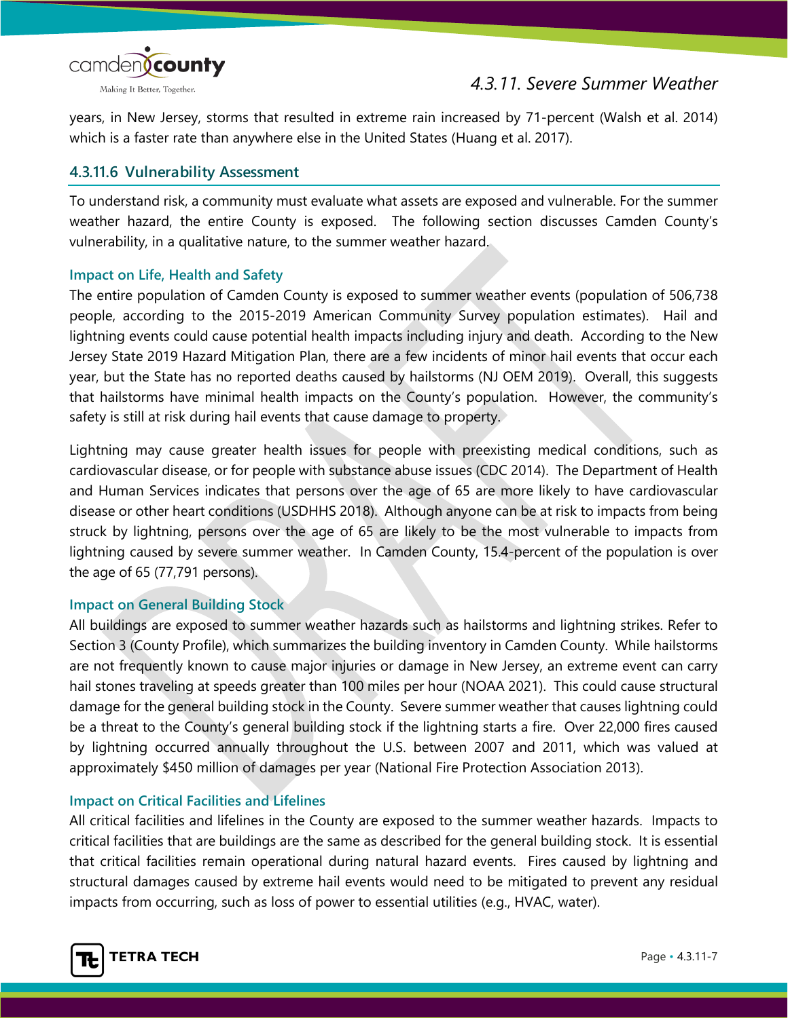

years, in New Jersey, storms that resulted in extreme rain increased by 71-percent (Walsh et al. 2014) which is a faster rate than anywhere else in the United States (Huang et al. 2017).

## **4.3.11.6 Vulnerability Assessment**

To understand risk, a community must evaluate what assets are exposed and vulnerable. For the summer weather hazard, the entire County is exposed. The following section discusses Camden County's vulnerability, in a qualitative nature, to the summer weather hazard.

## **Impact on Life, Health and Safety**

The entire population of Camden County is exposed to summer weather events (population of 506,738 people, according to the 2015-2019 American Community Survey population estimates). Hail and lightning events could cause potential health impacts including injury and death. According to the New Jersey State 2019 Hazard Mitigation Plan, there are a few incidents of minor hail events that occur each year, but the State has no reported deaths caused by hailstorms (NJ OEM 2019). Overall, this suggests that hailstorms have minimal health impacts on the County's population. However, the community's safety is still at risk during hail events that cause damage to property.

Lightning may cause greater health issues for people with preexisting medical conditions, such as cardiovascular disease, or for people with substance abuse issues (CDC 2014). The Department of Health and Human Services indicates that persons over the age of 65 are more likely to have cardiovascular disease or other heart conditions (USDHHS 2018). Although anyone can be at risk to impacts from being struck by lightning, persons over the age of 65 are likely to be the most vulnerable to impacts from lightning caused by severe summer weather. In Camden County, 15.4-percent of the population is over the age of 65 (77,791 persons).

## **Impact on General Building Stock**

All buildings are exposed to summer weather hazards such as hailstorms and lightning strikes. Refer to Section 3 (County Profile), which summarizes the building inventory in Camden County. While hailstorms are not frequently known to cause major injuries or damage in New Jersey, an extreme event can carry hail stones traveling at speeds greater than 100 miles per hour (NOAA 2021). This could cause structural damage for the general building stock in the County. Severe summer weather that causes lightning could be a threat to the County's general building stock if the lightning starts a fire. Over 22,000 fires caused by lightning occurred annually throughout the U.S. between 2007 and 2011, which was valued at approximately \$450 million of damages per year (National Fire Protection Association 2013).

## **Impact on Critical Facilities and Lifelines**

All critical facilities and lifelines in the County are exposed to the summer weather hazards. Impacts to critical facilities that are buildings are the same as described for the general building stock. It is essential that critical facilities remain operational during natural hazard events. Fires caused by lightning and structural damages caused by extreme hail events would need to be mitigated to prevent any residual impacts from occurring, such as loss of power to essential utilities (e.g., HVAC, water).

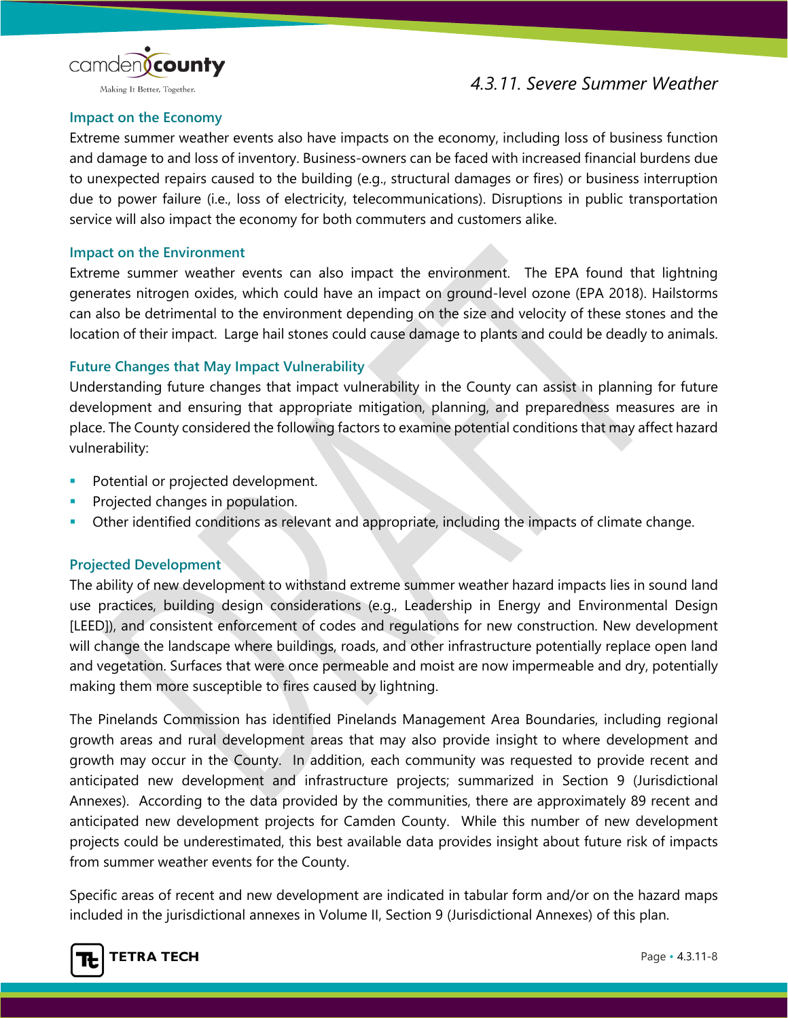



#### Making It Better, Together.

#### **Impact on the Economy**

Extreme summer weather events also have impacts on the economy, including loss of business function and damage to and loss of inventory. Business-owners can be faced with increased financial burdens due to unexpected repairs caused to the building (e.g., structural damages or fires) or business interruption due to power failure (i.e., loss of electricity, telecommunications). Disruptions in public transportation service will also impact the economy for both commuters and customers alike.

#### **Impact on the Environment**

Extreme summer weather events can also impact the environment. The EPA found that lightning generates nitrogen oxides, which could have an impact on ground-level ozone (EPA 2018). Hailstorms can also be detrimental to the environment depending on the size and velocity of these stones and the location of their impact. Large hail stones could cause damage to plants and could be deadly to animals.

#### **Future Changes that May Impact Vulnerability**

Understanding future changes that impact vulnerability in the County can assist in planning for future development and ensuring that appropriate mitigation, planning, and preparedness measures are in place. The County considered the following factors to examine potential conditions that may affect hazard vulnerability:

- Potential or projected development.
- Projected changes in population.
- Other identified conditions as relevant and appropriate, including the impacts of climate change.

#### **Projected Development**

The ability of new development to withstand extreme summer weather hazard impacts lies in sound land use practices, building design considerations (e.g., Leadership in Energy and Environmental Design [LEED]), and consistent enforcement of codes and regulations for new construction. New development will change the landscape where buildings, roads, and other infrastructure potentially replace open land and vegetation. Surfaces that were once permeable and moist are now impermeable and dry, potentially making them more susceptible to fires caused by lightning.

The Pinelands Commission has identified Pinelands Management Area Boundaries, including regional growth areas and rural development areas that may also provide insight to where development and growth may occur in the County. In addition, each community was requested to provide recent and anticipated new development and infrastructure projects; summarized in Section 9 (Jurisdictional Annexes). According to the data provided by the communities, there are approximately 89 recent and anticipated new development projects for Camden County. While this number of new development projects could be underestimated, this best available data provides insight about future risk of impacts from summer weather events for the County.

Specific areas of recent and new development are indicated in tabular form and/or on the hazard maps included in the jurisdictional annexes in Volume II, Section 9 (Jurisdictional Annexes) of this plan.